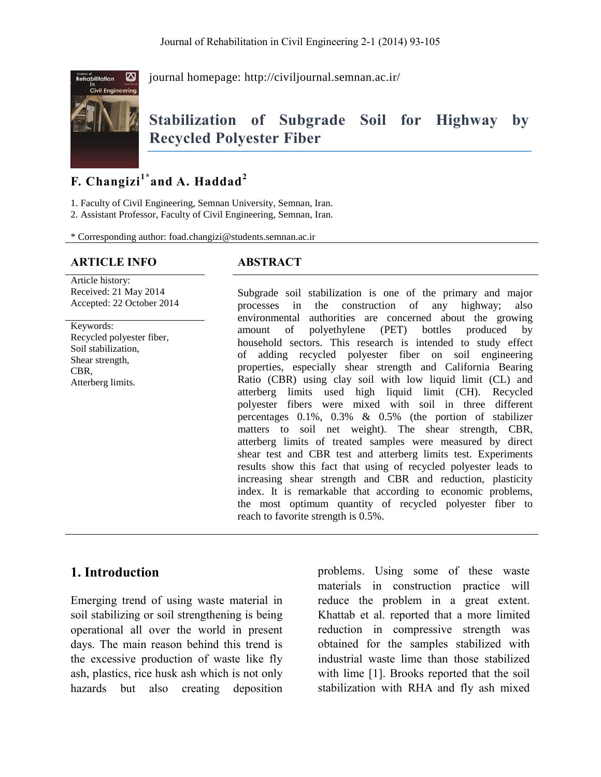

journal homepage:<http://civiljournal.semnan.ac.ir/>

# **Stabilization of Subgrade Soil for Highway by Recycled Polyester Fiber**

# **F. Changizi1\* and A. Haddad<sup>2</sup>**

1. Faculty of Civil Engineering, Semnan University, Semnan, Iran.

2. Assistant Professor, Faculty of Civil Engineering, Semnan, Iran.

\* Corresponding author: foad.changizi@students.semnan.ac.ir

### **ARTICLE INFO ABSTRACT**

Article history: Received: 21 May 2014 Accepted: 22 October 2014

Keywords: Recycled polyester fiber, Soil stabilization, Shear strength, CBR, Atterberg limits.

Subgrade soil stabilization is one of the primary and major processes in the construction of any highway; also environmental authorities are concerned about the growing amount of polyethylene (PET) bottles produced by household sectors. This research is intended to study effect of adding recycled polyester fiber on soil engineering properties, especially shear strength and California Bearing Ratio (CBR) using clay soil with low liquid limit (CL) and atterberg limits used high liquid limit (CH). Recycled polyester fibers were mixed with soil in three different percentages 0.1%, 0.3% & 0.5% (the portion of stabilizer matters to soil net weight). The shear strength, CBR, atterberg limits of treated samples were measured by direct shear test and CBR test and atterberg limits test. Experiments results show this fact that using of recycled polyester leads to increasing shear strength and CBR and reduction, plasticity index. It is remarkable that according to economic problems, the most optimum quantity of recycled polyester fiber to reach to favorite strength is 0.5%.

### **1. Introduction**

Emerging trend of using waste material in soil stabilizing or soil strengthening is being operational all over the world in present days. The main reason behind this trend is the excessive production of waste like fly ash, plastics, rice husk ash which is not only hazards but also creating deposition problems. Using some of these waste materials in construction practice will reduce the problem in a great extent. Khattab et al. reported that a more limited reduction in compressive strength was obtained for the samples stabilized with industrial waste lime than those stabilized with lime [1]. Brooks reported that the soil stabilization with RHA and fly ash mixed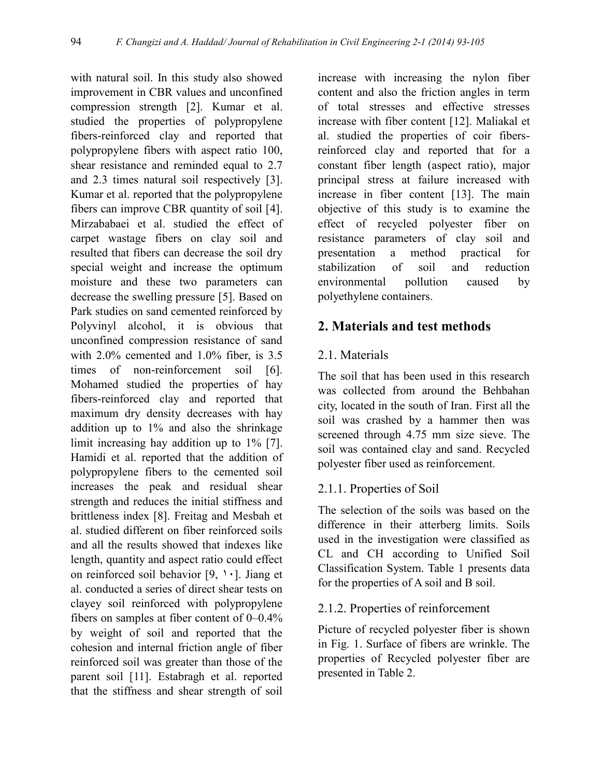with natural soil. In this study also showed improvement in CBR values and unconfined compression strength [2]. Kumar et al. studied the properties of polypropylene fibers-reinforced clay and reported that polypropylene fibers with aspect ratio 100, shear resistance and reminded equal to 2.7 and 2.3 times natural soil respectively [3]. Kumar et al. reported that the polypropylene fibers can improve CBR quantity of soil [4]. Mirzababaei et al. studied the effect of carpet wastage fibers on clay soil and resulted that fibers can decrease the soil dry special weight and increase the optimum moisture and these two parameters can decrease the swelling pressure [5]. Based on Park studies on sand cemented reinforced by Polyvinyl alcohol, it is obvious that unconfined compression resistance of sand with 2.0% cemented and 1.0% fiber, is 3.5 times of non-reinforcement soil [6]. Mohamed studied the properties of hay fibers-reinforced clay and reported that maximum dry density decreases with hay addition up to 1% and also the shrinkage limit increasing hay addition up to 1% [7]. Hamidi et al. reported that the addition of polypropylene fibers to the cemented soil increases the peak and residual shear strength and reduces the initial stiffness and brittleness index [8]. Freitag and Mesbah et al. studied different on fiber reinforced soils and all the results showed that indexes like length, quantity and aspect ratio could effect on reinforced soil behavior  $[9, 1, 1]$ . Jiang et al. conducted a series of direct shear tests on clayey soil reinforced with polypropylene fibers on samples at fiber content of 0–0.4% by weight of soil and reported that the cohesion and internal friction angle of fiber reinforced soil was greater than those of the parent soil [11]. Estabragh et al. reported that the stiffness and shear strength of soil

increase with increasing the nylon fiber content and also the friction angles in term of total stresses and effective stresses increase with fiber content [12]. Maliakal et al. studied the properties of coir fibersreinforced clay and reported that for a constant fiber length (aspect ratio), major principal stress at failure increased with increase in fiber content [13]. The main objective of this study is to examine the effect of recycled polyester fiber on resistance parameters of clay soil and presentation a method practical for stabilization of soil and reduction environmental pollution caused by polyethylene containers.

### **2. Materials and test methods**

### 2.1. Materials

The soil that has been used in this research was collected from around the Behbahan city, located in the south of Iran. First all the soil was crashed by a hammer then was screened through 4.75 mm size sieve. The soil was contained clay and sand. Recycled polyester fiber used as reinforcement.

### 2.1.1. Properties of Soil

The selection of the soils was based on the difference in their atterberg limits. Soils used in the investigation were classified as CL and CH according to Unified Soil Classification System. Table 1 presents data for the properties of A soil and B soil.

### 2.1.2. Properties of reinforcement

Picture of recycled polyester fiber is shown in Fig. 1. Surface of fibers are wrinkle. The properties of Recycled polyester fiber are presented in Table 2.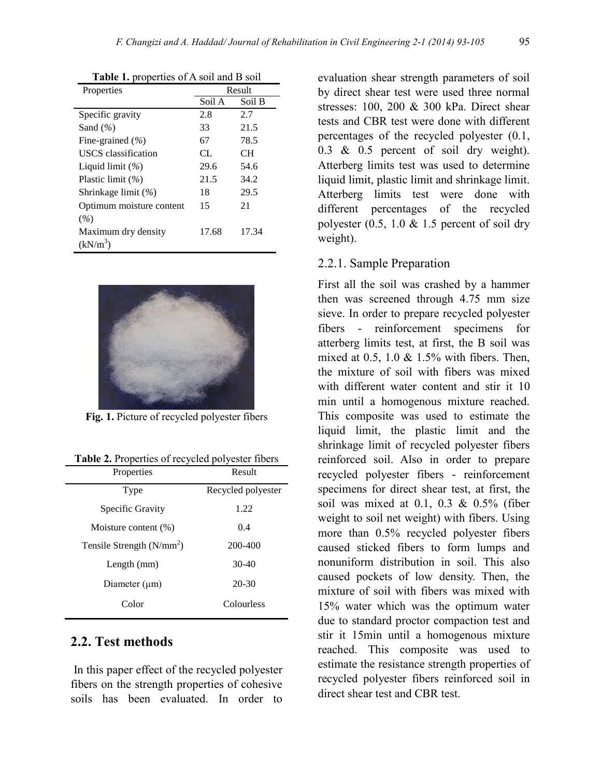| Properties               | Result |        |
|--------------------------|--------|--------|
|                          | Soil A | Soil B |
| Specific gravity         | 2.8    | 2.7    |
| Sand $(\% )$             | 33     | 21.5   |
| Fine-grained (%)         | 67     | 78.5   |
| USCS classification      | CL.    | CН     |
| Liquid limit $(\% )$     | 29.6   | 54.6   |
| Plastic limit $(\% )$    | 21.5   | 34.2   |
| Shrinkage limit (%)      | 18     | 29.5   |
| Optimum moisture content | 15     | 21     |
| $(\%)$                   |        |        |
| Maximum dry density      | 17.68  | 17.34  |
| $(kN/m^3)$               |        |        |

**Table 1.** properties of A soil and B soil



**Fig. 1.** Picture of recycled polyester fibers

|  |  | Table 2. Properties of recycled polyester fibers |  |  |
|--|--|--------------------------------------------------|--|--|
|--|--|--------------------------------------------------|--|--|

| Properties                  | Result             |  |
|-----------------------------|--------------------|--|
| Type                        | Recycled polyester |  |
| Specific Gravity            | 1.22               |  |
| Moisture content (%)        | 0.4                |  |
| Tensile Strength $(N/mm^2)$ | 200-400            |  |
| Length (mm)                 | $30-40$            |  |
| Diameter $(\mu m)$          | $20 - 30$          |  |
| Color                       | Colourless         |  |

#### **2.2. Test methods**

In this paper effect of the recycled polyester fibers on the strength properties of cohesive soils has been evaluated. In order to evaluation shear strength parameters of soil by direct shear test were used three normal stresses: 100, 200 & 300 kPa. Direct shear tests and CBR test were done with different percentages of the recycled polyester (0.1, 0.3 & 0.5 percent of soil dry weight). Atterberg limits test was used to determine liquid limit, plastic limit and shrinkage limit. Atterberg limits test were done with different percentages of the recycled polyester  $(0.5, 1.0 \& 1.5)$  percent of soil dry weight).

#### 2.2.1. Sample Preparation

First all the soil was crashed by a hammer then was screened through 4.75 mm size sieve. In order to prepare recycled polyester fibers - reinforcement specimens for atterberg limits test, at first, the B soil was mixed at  $0.5$ ,  $1.0 \& 1.5\%$  with fibers. Then, the mixture of soil with fibers was mixed with different water content and stir it 10 min until a homogenous mixture reached. This composite was used to estimate the liquid limit, the plastic limit and the shrinkage limit of recycled polyester fibers reinforced soil. Also in order to prepare recycled polyester fibers - reinforcement specimens for direct shear test, at first, the soil was mixed at 0.1, 0.3  $& 0.5\%$  (fiber weight to soil net weight) with fibers. Using more than 0.5% recycled polyester fibers caused sticked fibers to form lumps and nonuniform distribution in soil. This also caused pockets of low density. Then, the mixture of soil with fibers was mixed with 15% water which was the optimum water due to standard proctor compaction test and stir it 15min until a homogenous mixture reached. This composite was used to estimate the resistance strength properties of recycled polyester fibers reinforced soil in direct shear test and CBR test.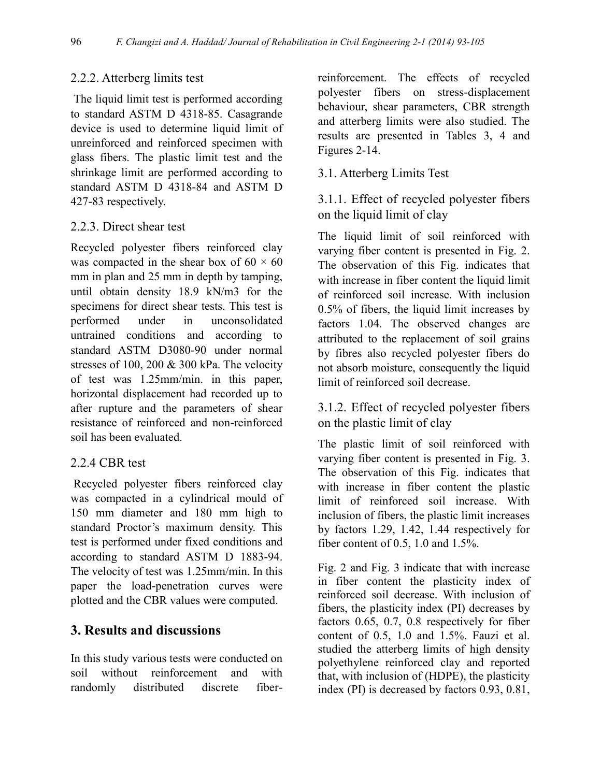### 2.2.2. Atterberg limits test

The liquid limit test is performed according to standard ASTM D 4318-85. Casagrande device is used to determine liquid limit of unreinforced and reinforced specimen with glass fibers. The plastic limit test and the shrinkage limit are performed according to standard ASTM D 4318-84 and ASTM D 427-83 respectively.

### 2.2.3. Direct shear test

Recycled polyester fibers reinforced clay was compacted in the shear box of  $60 \times 60$ mm in plan and 25 mm in depth by tamping, until obtain density 18.9 kN/m3 for the specimens for direct shear tests. This test is performed under in unconsolidated untrained conditions and according to standard ASTM D3080-90 under normal stresses of 100, 200 & 300 kPa. The velocity of test was 1.25mm/min. in this paper, horizontal displacement had recorded up to after rupture and the parameters of shear resistance of reinforced and non-reinforced soil has been evaluated.

### 2.2.4 CBR test

Recycled polyester fibers reinforced clay was compacted in a cylindrical mould of 150 mm diameter and 180 mm high to standard Proctor's maximum density. This test is performed under fixed conditions and according to standard ASTM D 1883-94. The velocity of test was 1.25mm/min. In this paper the load-penetration curves were plotted and the CBR values were computed.

## **3. Results and discussions**

In this study various tests were conducted on soil without reinforcement and with randomly distributed discrete fiberreinforcement. The effects of recycled polyester fibers on stress-displacement behaviour, shear parameters, CBR strength and atterberg limits were also studied. The results are presented in Tables 3, 4 and Figures 2-14.

3.1. Atterberg Limits Test

3.1.1. Effect of recycled polyester fibers on the liquid limit of clay

The liquid limit of soil reinforced with varying fiber content is presented in Fig. 2. The observation of this Fig. indicates that with increase in fiber content the liquid limit of reinforced soil increase. With inclusion 0.5% of fibers, the liquid limit increases by factors 1.04. The observed changes are attributed to the replacement of soil grains by fibres also recycled polyester fibers do not absorb moisture, consequently the liquid limit of reinforced soil decrease.

3.1.2. Effect of recycled polyester fibers on the plastic limit of clay

The plastic limit of soil reinforced with varying fiber content is presented in Fig. 3. The observation of this Fig. indicates that with increase in fiber content the plastic limit of reinforced soil increase. With inclusion of fibers, the plastic limit increases by factors 1.29, 1.42, 1.44 respectively for fiber content of 0.5, 1.0 and 1.5%.

Fig. 2 and Fig. 3 indicate that with increase in fiber content the plasticity index of reinforced soil decrease. With inclusion of fibers, the plasticity index (PI) decreases by factors 0.65, 0.7, 0.8 respectively for fiber content of 0.5, 1.0 and 1.5%. Fauzi et al. studied the atterberg limits of high density polyethylene reinforced clay and reported that, with inclusion of (HDPE), the plasticity index (PI) is decreased by factors 0.93, 0.81,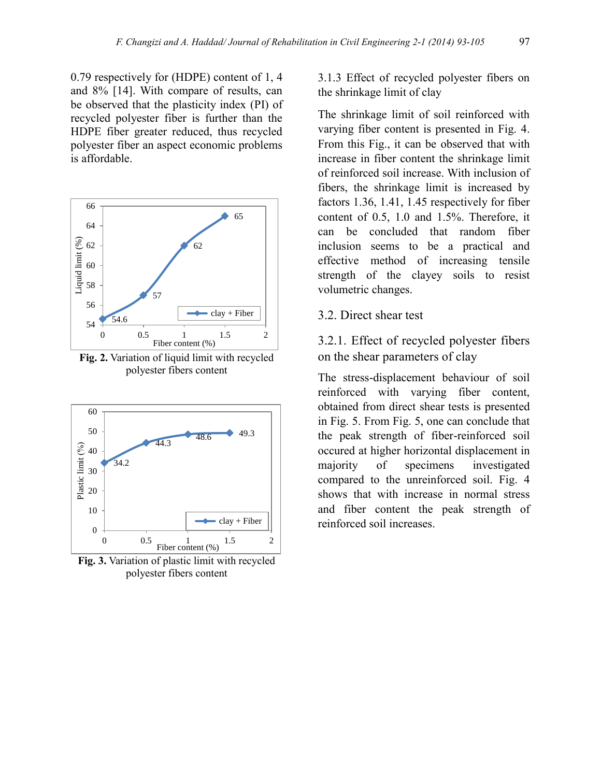0.79 respectively for (HDPE) content of 1, 4 and 8% [14]. With compare of results, can be observed that the plasticity index (PI) of recycled polyester fiber is further than the HDPE fiber greater reduced, thus recycled polyester fiber an aspect economic problems is affordable.



**Fig. 2.** Variation of liquid limit with recycled polyester fibers content



**Fig. 3.** Variation of plastic limit with recycled polyester fibers content

3.1.3 Effect of recycled polyester fibers on the shrinkage limit of clay

The shrinkage limit of soil reinforced with varying fiber content is presented in Fig. 4. From this Fig., it can be observed that with increase in fiber content the shrinkage limit of reinforced soil increase. With inclusion of fibers, the shrinkage limit is increased by factors 1.36, 1.41, 1.45 respectively for fiber content of 0.5, 1.0 and 1.5%. Therefore, it can be concluded that random fiber inclusion seems to be a practical and effective method of increasing tensile strength of the clayey soils to resist volumetric changes.

3.2. Direct shear test

3.2.1. Effect of recycled polyester fibers on the shear parameters of clay

The stress-displacement behaviour of soil reinforced with varying fiber content, obtained from direct shear tests is presented in Fig. 5. From Fig. 5, one can conclude that the peak strength of fiber-reinforced soil occured at higher horizontal displacement in majority of specimens investigated compared to the unreinforced soil. Fig. 4 shows that with increase in normal stress and fiber content the peak strength of reinforced soil increases.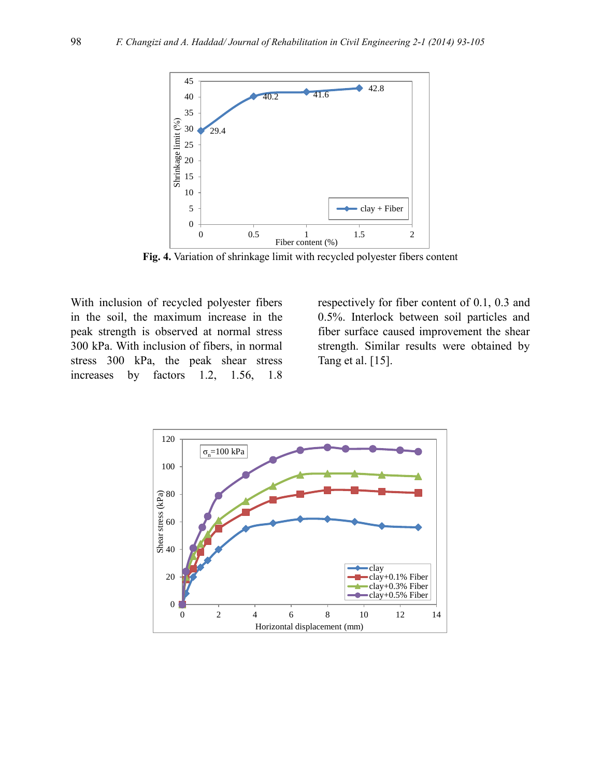

**Fig. 4.** Variation of shrinkage limit with recycled polyester fibers content

With inclusion of recycled polyester fibers in the soil, the maximum increase in the peak strength is observed at normal stress 300 kPa. With inclusion of fibers, in normal stress 300 kPa, the peak shear stress increases by factors 1.2, 1.56, 1.8

respectively for fiber content of 0.1, 0.3 and 0.5%. Interlock between soil particles and fiber surface caused improvement the shear strength. Similar results were obtained by Tang et al. [15].

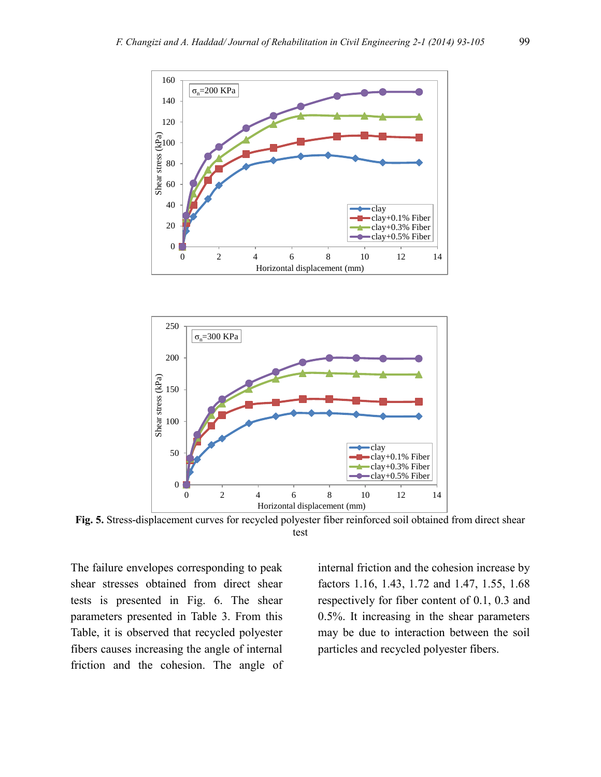



**Fig. 5.** Stress-displacement curves for recycled polyester fiber reinforced soil obtained from direct shear test

The failure envelopes corresponding to peak shear stresses obtained from direct shear tests is presented in Fig. 6. The shear parameters presented in Table 3. From this Table, it is observed that recycled polyester fibers causes increasing the angle of internal friction and the cohesion. The angle of internal friction and the cohesion increase by factors 1.16, 1.43, 1.72 and 1.47, 1.55, 1.68 respectively for fiber content of 0.1, 0.3 and 0.5%. It increasing in the shear parameters may be due to interaction between the soil particles and recycled polyester fibers.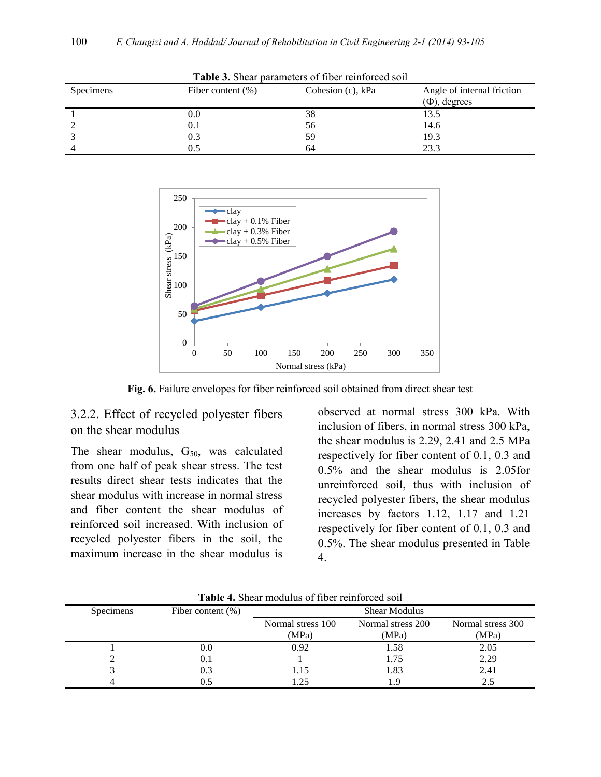| <b>Table 3.</b> Shear parameters of fiber reinforced soil |                       |                      |                                                  |
|-----------------------------------------------------------|-----------------------|----------------------|--------------------------------------------------|
| Specimens                                                 | Fiber content $(\% )$ | Cohesion $(c)$ , kPa | Angle of internal friction<br>$(\Phi)$ , degrees |
|                                                           | 0.0                   | 38                   | 13.5                                             |
|                                                           | 0.1                   | 56                   | 14.6                                             |
|                                                           | 0.3                   | 59                   | 19.3                                             |
|                                                           | 0.5                   | 64                   | 23.3                                             |



**Fig. 6.** Failure envelopes for fiber reinforced soil obtained from direct shear test

### 3.2.2. Effect of recycled polyester fibers on the shear modulus

The shear modulus,  $G_{50}$ , was calculated from one half of peak shear stress. The test results direct shear tests indicates that the shear modulus with increase in normal stress and fiber content the shear modulus of reinforced soil increased. With inclusion of recycled polyester fibers in the soil, the maximum increase in the shear modulus is

observed at normal stress 300 kPa. With inclusion of fibers, in normal stress 300 kPa, the shear modulus is 2.29, 2.41 and 2.5 MPa respectively for fiber content of 0.1, 0.3 and 0.5% and the shear modulus is 2.05for unreinforced soil, thus with inclusion of recycled polyester fibers, the shear modulus increases by factors 1.12, 1.17 and 1.21 respectively for fiber content of 0.1, 0.3 and 0.5%. The shear modulus presented in Table 4.

| TWATER TEMPLE THOMAIND OF HOME INTHINING DOIL |                      |                      |                   |                   |
|-----------------------------------------------|----------------------|----------------------|-------------------|-------------------|
| Specimens                                     | Fiber content $(\%)$ | <b>Shear Modulus</b> |                   |                   |
|                                               |                      | Normal stress 100    | Normal stress 200 | Normal stress 300 |
|                                               |                      | (MPa)                | (MPa)             | (MPa)             |
|                                               | 0.0                  | 0.92                 | 1.58              | 2.05              |
|                                               | 0.1                  |                      | 1.75              | 2.29              |
|                                               | 0.3                  | 1.15                 | 1.83              | 2.41              |
|                                               |                      | .25                  |                   |                   |

**Table 4.** Shear modulus of fiber reinforced soil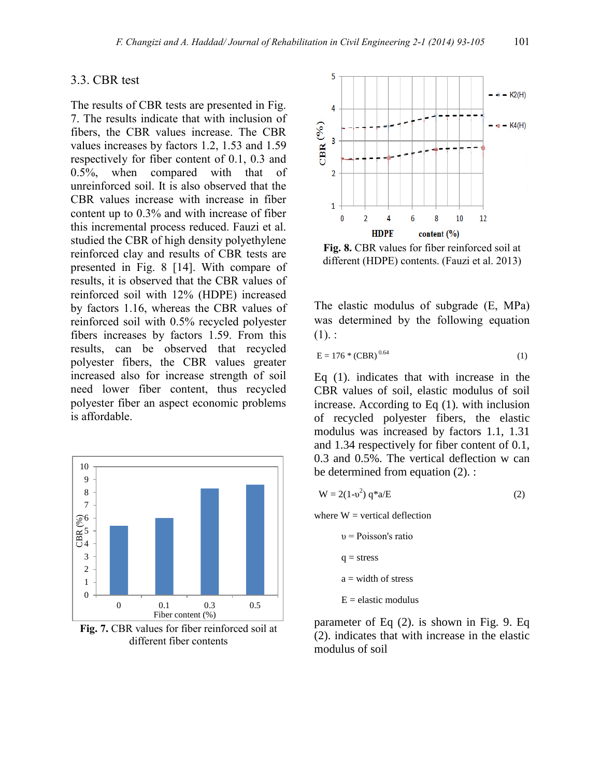#### 3.3. CBR test

The results of CBR tests are presented in Fig. 7. The results indicate that with inclusion of fibers, the CBR values increase. The CBR values increases by factors 1.2, 1.53 and 1.59 respectively for fiber content of 0.1, 0.3 and 0.5%, when compared with that of unreinforced soil. It is also observed that the CBR values increase with increase in fiber content up to 0.3% and with increase of fiber this incremental process reduced. Fauzi et al. studied the CBR of high density polyethylene reinforced clay and results of CBR tests are presented in Fig. 8 [14]. With compare of results, it is observed that the CBR values of reinforced soil with 12% (HDPE) increased by factors 1.16, whereas the CBR values of reinforced soil with 0.5% recycled polyester fibers increases by factors 1.59. From this results, can be observed that recycled polyester fibers, the CBR values greater increased also for increase strength of soil need lower fiber content, thus recycled polyester fiber an aspect economic problems is affordable.



**Fig. 7.** CBR values for fiber reinforced soil at different fiber contents



**Fig. 8.** CBR values for fiber reinforced soil at different (HDPE) contents. (Fauzi et al. 2013)

The elastic modulus of subgrade (E, MPa) was determined by the following equation  $(1).$ 

$$
E = 176 * (CBR)^{0.64}
$$
 (1)

Eq (1). indicates that with increase in the CBR values of soil, elastic modulus of soil increase. According to Eq (1). with inclusion of recycled polyester fibers, the elastic modulus was increased by factors 1.1, 1.31 and 1.34 respectively for fiber content of 0.1, 0.3 and 0.5%. The vertical deflection w can be determined from equation (2). :

$$
W = 2(1-v2) q*a/E
$$
 (2)

where  $W =$  vertical deflection

 υ = Poisson's ratio  $q = stress$  $a = width of stress$  $E =$  elastic modulus

parameter of Eq (2). is shown in Fig. 9. Eq (2). indicates that with increase in the elastic modulus of soil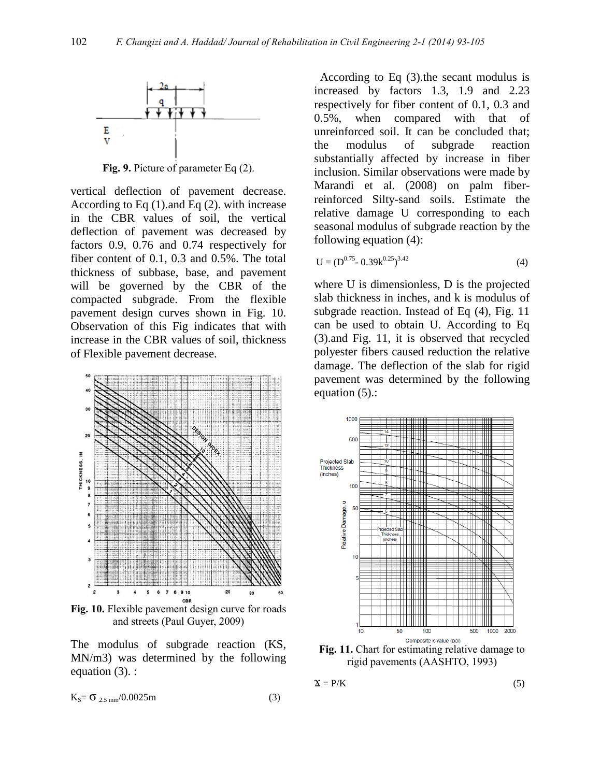

**Fig. 9.** Picture of parameter Eq (2).

vertical deflection of pavement decrease. According to Eq (1).and Eq (2). with increase in the CBR values of soil, the vertical deflection of pavement was decreased by factors 0.9, 0.76 and 0.74 respectively for fiber content of 0.1, 0.3 and 0.5%. The total thickness of subbase, base, and pavement will be governed by the CBR of the compacted subgrade. From the flexible pavement design curves shown in Fig. 10. Observation of this Fig indicates that with increase in the CBR values of soil, thickness of Flexible pavement decrease.



**Fig. 10.** Flexible pavement design curve for roads and streets (Paul Guyer, 2009)

The modulus of subgrade reaction (KS, MN/m3) was determined by the following equation (3). :

$$
K_S = \sigma_{2.5 \text{ mm}} / 0.0025 \text{ m}
$$
 (3)

 According to Eq (3).the secant modulus is increased by factors 1.3, 1.9 and 2.23 respectively for fiber content of 0.1, 0.3 and 0.5%, when compared with that of unreinforced soil. It can be concluded that; the modulus of subgrade reaction substantially affected by increase in fiber inclusion. Similar observations were made by Marandi et al. (2008) on palm fiberreinforced Silty-sand soils. Estimate the relative damage U corresponding to each seasonal modulus of subgrade reaction by the following equation (4):

$$
U = (D0.75 - 0.39k0.25)3.42
$$
 (4)

where U is dimensionless, D is the projected slab thickness in inches, and k is modulus of subgrade reaction. Instead of Eq (4), Fig. 11 can be used to obtain U. According to Eq (3).and Fig. 11, it is observed that recycled polyester fibers caused reduction the relative damage. The deflection of the slab for rigid pavement was determined by the following equation (5).:



**Fig. 11.** Chart for estimating relative damage to rigid pavements (AASHTO, 1993)

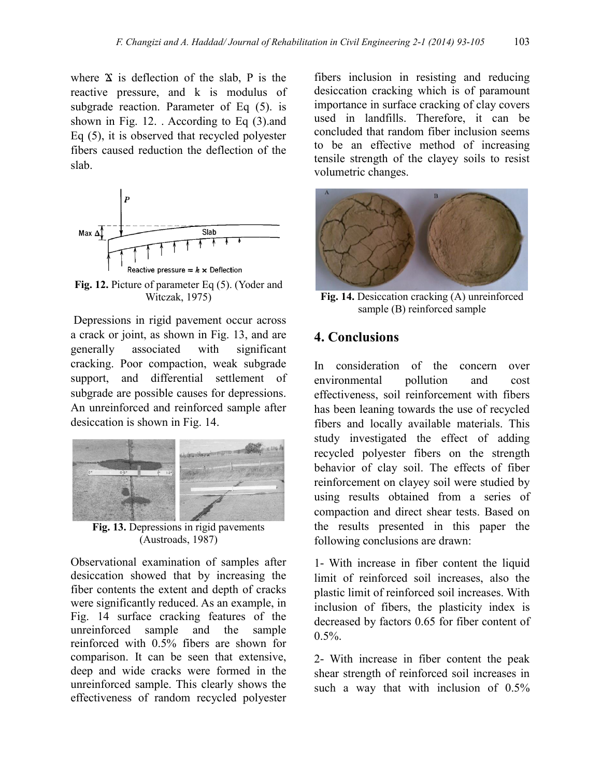where  $X$  is deflection of the slab, P is the reactive pressure, and k is modulus of subgrade reaction. Parameter of Eq  $(5)$ . is shown in Fig. 12. . According to Eq (3).and Eq (5), it is observed that recycled polyester fibers caused reduction the deflection of the slab.



**Fig. 12.** Picture of parameter Eq (5). (Yoder and Witczak, 1975)

Depressions in rigid pavement occur across a crack or joint, as shown in Fig. 13, and are generally associated with significant cracking. Poor compaction, weak subgrade support, and differential settlement of subgrade are possible causes for depressions. An unreinforced and reinforced sample after desiccation is shown in Fig. 14.



**Fig. 13.** Depressions in rigid pavements (Austroads, 1987)

Observational examination of samples after desiccation showed that by increasing the fiber contents the extent and depth of cracks were significantly reduced. As an example, in Fig. 14 surface cracking features of the unreinforced sample and the sample reinforced with 0.5% fibers are shown for comparison. It can be seen that extensive, deep and wide cracks were formed in the unreinforced sample. This clearly shows the effectiveness of random recycled polyester

fibers inclusion in resisting and reducing desiccation cracking which is of paramount importance in surface cracking of clay covers used in landfills. Therefore, it can be concluded that random fiber inclusion seems to be an effective method of increasing tensile strength of the clayey soils to resist volumetric changes.



**Fig. 14.** Desiccation cracking (A) unreinforced sample (B) reinforced sample

### **4. Conclusions**

In consideration of the concern over environmental pollution and cost effectiveness, soil reinforcement with fibers has been leaning towards the use of recycled fibers and locally available materials. This study investigated the effect of adding recycled polyester fibers on the strength behavior of clay soil. The effects of fiber reinforcement on clayey soil were studied by using results obtained from a series of compaction and direct shear tests. Based on the results presented in this paper the following conclusions are drawn:

1- With increase in fiber content the liquid limit of reinforced soil increases, also the plastic limit of reinforced soil increases. With inclusion of fibers, the plasticity index is decreased by factors 0.65 for fiber content of  $0.5\%$ .

2- With increase in fiber content the peak shear strength of reinforced soil increases in such a way that with inclusion of 0.5%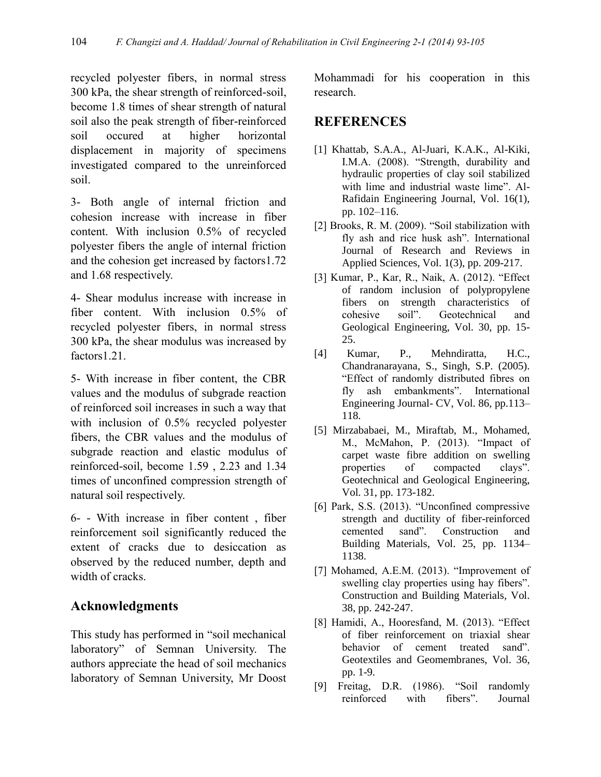recycled polyester fibers, in normal stress 300 kPa, the shear strength of reinforced-soil, become 1.8 times of shear strength of natural soil also the peak strength of fiber-reinforced soil occured at higher horizontal displacement in majority of specimens investigated compared to the unreinforced soil.

3- Both angle of internal friction and cohesion increase with increase in fiber content. With inclusion 0.5% of recycled polyester fibers the angle of internal friction and the cohesion get increased by factors1.72 and 1.68 respectively.

4- Shear modulus increase with increase in fiber content. With inclusion 0.5% of recycled polyester fibers, in normal stress 300 kPa, the shear modulus was increased by factors1.21.

5- With increase in fiber content, the CBR values and the modulus of subgrade reaction of reinforced soil increases in such a way that with inclusion of 0.5% recycled polyester fibers, the CBR values and the modulus of subgrade reaction and elastic modulus of reinforced-soil, become 1.59 , 2.23 and 1.34 times of unconfined compression strength of natural soil respectively.

6- - With increase in fiber content , fiber reinforcement soil significantly reduced the extent of cracks due to desiccation as observed by the reduced number, depth and width of cracks.

## **Acknowledgments**

This study has performed in "soil mechanical laboratory" of Semnan University. The authors appreciate the head of soil mechanics laboratory of Semnan University, Mr Doost

Mohammadi for his cooperation in this research.

### **REFERENCES**

- [1] Khattab, S.A.A., Al-Juari, K.A.K., Al-Kiki, I.M.A. (2008). "Strength, durability and hydraulic properties of clay soil stabilized with lime and industrial waste lime". Al-Rafidain Engineering Journal, Vol. 16(1), pp. 102–116.
- [2] Brooks, R. M. (2009). "Soil stabilization with fly ash and rice husk ash". International Journal of Research and Reviews in Applied Sciences, Vol. 1(3), pp. 209-217.
- [3] Kumar, P., Kar, R., Naik, A. (2012). "Effect of random inclusion of polypropylene fibers on strength characteristics of cohesive soil". Geotechnical and Geological Engineering, Vol. 30, pp. 15- 25.
- [4] Kumar, P., Mehndiratta, H.C., Chandranarayana, S., Singh, S.P. (2005). "Effect of randomly distributed fibres on fly ash embankments". International Engineering Journal- CV, Vol. 86, pp.113– 118.
- [5] Mirzababaei, M., Miraftab, M., Mohamed, M., McMahon, P. (2013). "Impact of carpet waste fibre addition on swelling properties of compacted clays". Geotechnical and Geological Engineering, Vol. 31, pp. 173-182.
- [6] Park, S.S. (2013). "Unconfined compressive strength and ductility of fiber-reinforced cemented sand". Construction and Building Materials, Vol. 25, pp. 1134– 1138.
- [7] Mohamed, A.E.M. (2013). "Improvement of swelling clay properties using hay fibers". Construction and Building Materials, Vol. 38, pp. 242-247.
- [8] Hamidi, A., Hooresfand, M. (2013). "Effect of fiber reinforcement on triaxial shear behavior of cement treated sand". Geotextiles and Geomembranes, Vol. 36, pp. 1-9.
- [9] Freitag, D.R. (1986). "Soil randomly reinforced with fibers". Journal